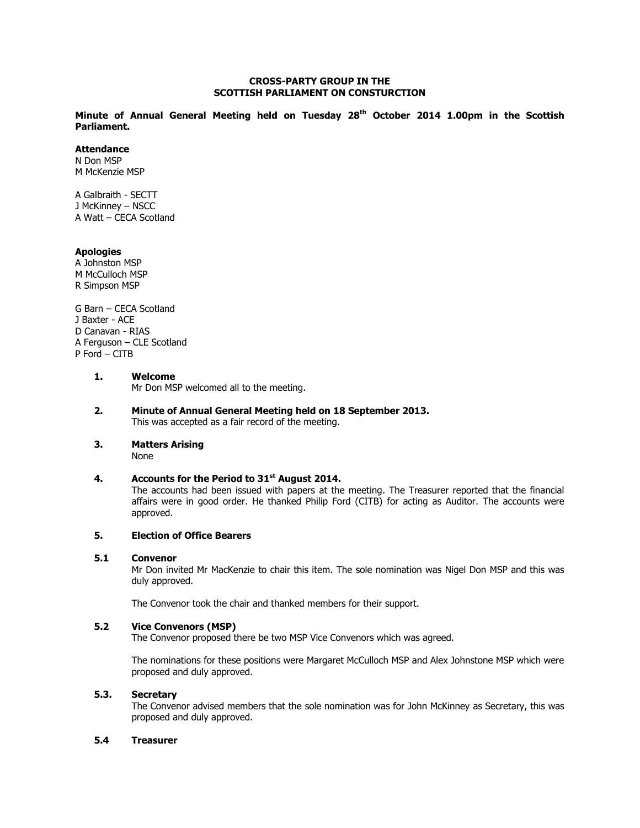### **CROSS-PARTY GROUP IN THE SCOTTISH PARLIAMENT ON CONSTURCTION**

**Minute of Annual General Meeting held on Tuesday 28 th October 2014 1.00pm in the Scottish Parliament.**

### **Attendance**

N Don MSP M McKenzie MSP

A Galbraith - SECTT J McKinney – NSCC A Watt – CECA Scotland

### **Apologies**

A Johnston MSP M McCulloch MSP R Simpson MSP

G Barn – CECA Scotland J Baxter - ACE D Canavan - RIAS A Ferguson – CLE Scotland P Ford – CITB

## **1. Welcome**

Mr Don MSP welcomed all to the meeting.

### **2. Minute of Annual General Meeting held on 18 September 2013.**

This was accepted as a fair record of the meeting.

#### **3. Matters Arising** None

### **4. Accounts for the Period to 31 st August 2014.**

The accounts had been issued with papers at the meeting. The Treasurer reported that the financial affairs were in good order. He thanked Philip Ford (CITB) for acting as Auditor. The accounts were approved.

# **5. Election of Office Bearers**

### **5.1 Convenor**

Mr Don invited Mr MacKenzie to chair this item. The sole nomination was Nigel Don MSP and this was duly approved.

The Convenor took the chair and thanked members for their support.

### **5.2 Vice Convenors (MSP)**

The Convenor proposed there be two MSP Vice Convenors which was agreed.

The nominations for these positions were Margaret McCulloch MSP and Alex Johnstone MSP which were proposed and duly approved.

### **5.3. Secretary**

The Convenor advised members that the sole nomination was for John McKinney as Secretary, this was proposed and duly approved.

### **5.4 Treasurer**